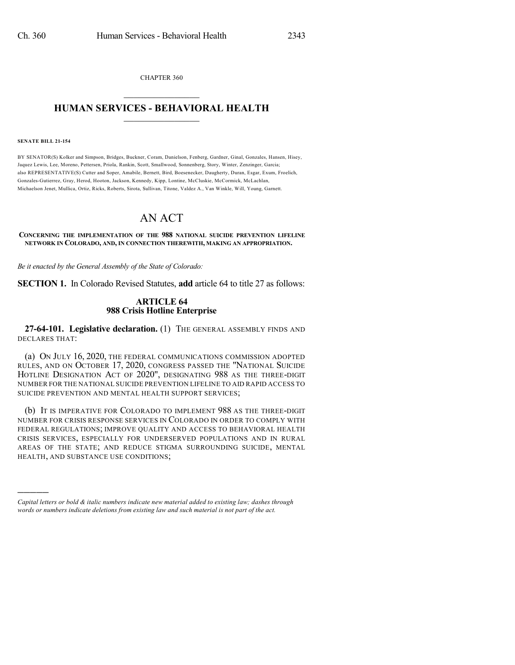CHAPTER 360  $\overline{\phantom{a}}$  . The set of the set of the set of the set of the set of the set of the set of the set of the set of the set of the set of the set of the set of the set of the set of the set of the set of the set of the set o

## **HUMAN SERVICES - BEHAVIORAL HEALTH**  $\frac{1}{2}$  ,  $\frac{1}{2}$  ,  $\frac{1}{2}$  ,  $\frac{1}{2}$  ,  $\frac{1}{2}$  ,  $\frac{1}{2}$  ,  $\frac{1}{2}$

#### **SENATE BILL 21-154**

)))))

BY SENATOR(S) Kolker and Simpson, Bridges, Buckner, Coram, Danielson, Fenberg, Gardner, Ginal, Gonzales, Hansen, Hisey, Jaquez Lewis, Lee, Moreno, Pettersen, Priola, Rankin, Scott, Smallwood, Sonnenberg, Story, Winter, Zenzinger, Garcia; also REPRESENTATIVE(S) Cutter and Soper, Amabile, Bernett, Bird, Boesenecker, Daugherty, Duran, Esgar, Exum, Froelich, Gonzales-Gutierrez, Gray, Herod, Hooton, Jackson, Kennedy, Kipp, Lontine, McCluskie, McCormick, McLachlan, Michaelson Jenet, Mullica, Ortiz, Ricks, Roberts, Sirota, Sullivan, Titone, Valdez A., Van Winkle, Will, Young, Garnett.

# AN ACT

**CONCERNING THE IMPLEMENTATION OF THE 988 NATIONAL SUICIDE PREVENTION LIFELINE NETWORK IN COLORADO, AND, IN CONNECTION THEREWITH, MAKING AN APPROPRIATION.**

*Be it enacted by the General Assembly of the State of Colorado:*

**SECTION 1.** In Colorado Revised Statutes, **add** article 64 to title 27 as follows:

### **ARTICLE 64 988 Crisis Hotline Enterprise**

**27-64-101. Legislative declaration.** (1) THE GENERAL ASSEMBLY FINDS AND DECLARES THAT:

(a) ON JULY 16, 2020, THE FEDERAL COMMUNICATIONS COMMISSION ADOPTED RULES, AND ON OCTOBER 17, 2020, CONGRESS PASSED THE "NATIONAL SUICIDE HOTLINE DESIGNATION ACT OF 2020", DESIGNATING 988 AS THE THREE-DIGIT NUMBER FOR THE NATIONAL SUICIDE PREVENTION LIFELINE TO AID RAPID ACCESS TO SUICIDE PREVENTION AND MENTAL HEALTH SUPPORT SERVICES;

(b) IT IS IMPERATIVE FOR COLORADO TO IMPLEMENT 988 AS THE THREE-DIGIT NUMBER FOR CRISIS RESPONSE SERVICES IN COLORADO IN ORDER TO COMPLY WITH FEDERAL REGULATIONS; IMPROVE QUALITY AND ACCESS TO BEHAVIORAL HEALTH CRISIS SERVICES, ESPECIALLY FOR UNDERSERVED POPULATIONS AND IN RURAL AREAS OF THE STATE; AND REDUCE STIGMA SURROUNDING SUICIDE, MENTAL HEALTH, AND SUBSTANCE USE CONDITIONS;

*Capital letters or bold & italic numbers indicate new material added to existing law; dashes through words or numbers indicate deletions from existing law and such material is not part of the act.*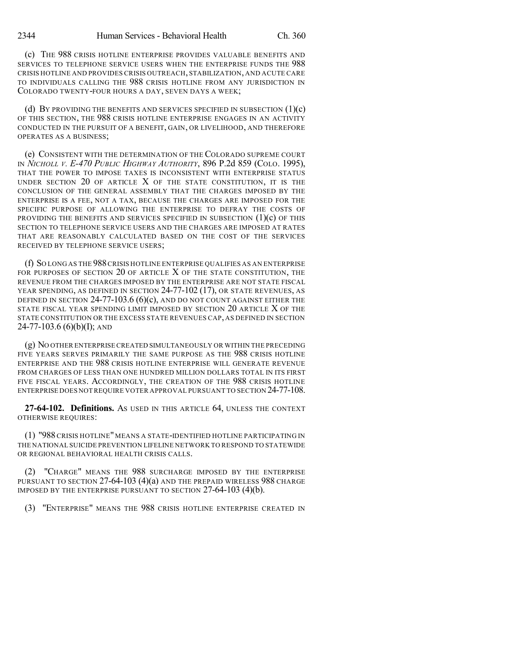(c) THE 988 CRISIS HOTLINE ENTERPRISE PROVIDES VALUABLE BENEFITS AND SERVICES TO TELEPHONE SERVICE USERS WHEN THE ENTERPRISE FUNDS THE 988 CRISIS HOTLINE AND PROVIDES CRISIS OUTREACH, STABILIZATION, AND ACUTE CARE TO INDIVIDUALS CALLING THE 988 CRISIS HOTLINE FROM ANY JURISDICTION IN COLORADO TWENTY-FOUR HOURS A DAY, SEVEN DAYS A WEEK;

(d) By providing the benefits and services specified in subsection  $(1)(c)$ OF THIS SECTION, THE 988 CRISIS HOTLINE ENTERPRISE ENGAGES IN AN ACTIVITY CONDUCTED IN THE PURSUIT OF A BENEFIT, GAIN, OR LIVELIHOOD, AND THEREFORE OPERATES AS A BUSINESS;

(e) CONSISTENT WITH THE DETERMINATION OF THE COLORADO SUPREME COURT IN *NICHOLL V. E-470 PUBLIC HIGHWAY AUTHORITY*, 896 P.2d 859 (COLO. 1995), THAT THE POWER TO IMPOSE TAXES IS INCONSISTENT WITH ENTERPRISE STATUS UNDER SECTION 20 OF ARTICLE  $X$  of the state constitution. It is the CONCLUSION OF THE GENERAL ASSEMBLY THAT THE CHARGES IMPOSED BY THE ENTERPRISE IS A FEE, NOT A TAX, BECAUSE THE CHARGES ARE IMPOSED FOR THE SPECIFIC PURPOSE OF ALLOWING THE ENTERPRISE TO DEFRAY THE COSTS OF PROVIDING THE BENEFITS AND SERVICES SPECIFIED IN SUBSECTION  $(1)(c)$  of this SECTION TO TELEPHONE SERVICE USERS AND THE CHARGES ARE IMPOSED AT RATES THAT ARE REASONABLY CALCULATED BASED ON THE COST OF THE SERVICES RECEIVED BY TELEPHONE SERVICE USERS;

(f) SO LONG AS THE 988CRISIS HOTLINE ENTERPRISE QUALIFIES AS AN ENTERPRISE FOR PURPOSES OF SECTION 20 OF ARTICLE X OF THE STATE CONSTITUTION, THE REVENUE FROM THE CHARGES IMPOSED BY THE ENTERPRISE ARE NOT STATE FISCAL YEAR SPENDING, AS DEFINED IN SECTION 24-77-102 (17), OR STATE REVENUES, AS DEFINED IN SECTION  $24-77-103.6$  (6)(c), and do not count against either the STATE FISCAL YEAR SPENDING LIMIT IMPOSED BY SECTION 20 ARTICLE X OF THE STATE CONSTITUTION OR THE EXCESS STATE REVENUES CAP, AS DEFINED IN SECTION 24-77-103.6 (6)(b)(I); AND

(g) NO OTHER ENTERPRISECREATED SIMULTANEOUSLY OR WITHIN THE PRECEDING FIVE YEARS SERVES PRIMARILY THE SAME PURPOSE AS THE 988 CRISIS HOTLINE ENTERPRISE AND THE 988 CRISIS HOTLINE ENTERPRISE WILL GENERATE REVENUE FROM CHARGES OF LESS THAN ONE HUNDRED MILLION DOLLARS TOTAL IN ITS FIRST FIVE FISCAL YEARS. ACCORDINGLY, THE CREATION OF THE 988 CRISIS HOTLINE ENTERPRISE DOES NOT REQUIRE VOTER APPROVAL PURSUANT TO SECTION 24-77-108.

**27-64-102. Definitions.** AS USED IN THIS ARTICLE 64, UNLESS THE CONTEXT OTHERWISE REQUIRES:

(1) "988 CRISIS HOTLINE" MEANS A STATE-IDENTIFIED HOTLINE PARTICIPATING IN THE NATIONAL SUICIDE PREVENTION LIFELINE NETWORK TO RESPOND TO STATEWIDE OR REGIONAL BEHAVIORAL HEALTH CRISIS CALLS.

(2) "CHARGE" MEANS THE 988 SURCHARGE IMPOSED BY THE ENTERPRISE PURSUANT TO SECTION 27-64-103 (4)(a) AND THE PREPAID WIRELESS 988 CHARGE IMPOSED BY THE ENTERPRISE PURSUANT TO SECTION 27-64-103 (4)(b).

(3) "ENTERPRISE" MEANS THE 988 CRISIS HOTLINE ENTERPRISE CREATED IN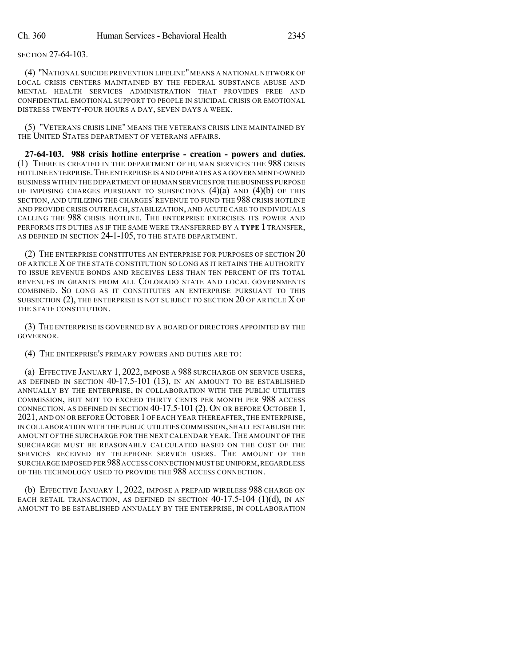SECTION 27-64-103.

(4) "NATIONAL SUICIDE PREVENTION LIFELINE"MEANS A NATIONAL NETWORK OF LOCAL CRISIS CENTERS MAINTAINED BY THE FEDERAL SUBSTANCE ABUSE AND MENTAL HEALTH SERVICES ADMINISTRATION THAT PROVIDES FREE AND CONFIDENTIAL EMOTIONAL SUPPORT TO PEOPLE IN SUICIDAL CRISIS OR EMOTIONAL DISTRESS TWENTY-FOUR HOURS A DAY, SEVEN DAYS A WEEK.

(5) "VETERANS CRISIS LINE" MEANS THE VETERANS CRISIS LINE MAINTAINED BY THE UNITED STATES DEPARTMENT OF VETERANS AFFAIRS.

**27-64-103. 988 crisis hotline enterprise - creation - powers and duties.** (1) THERE IS CREATED IN THE DEPARTMENT OF HUMAN SERVICES THE 988 CRISIS HOTLINE ENTERPRISE.THE ENTERPRISE IS AND OPERATES AS A GOVERNMENT-OWNED BUSINESS WITHIN THE DEPARTMENT OF HUMAN SERVICES FOR THE BUSINESS PURPOSE OF IMPOSING CHARGES PURSUANT TO SUBSECTIONS  $(4)(a)$  and  $(4)(b)$  of this SECTION, AND UTILIZING THE CHARGES' REVENUE TO FUND THE 988 CRISIS HOTLINE AND PROVIDE CRISIS OUTREACH, STABILIZATION, AND ACUTE CARE TO INDIVIDUALS CALLING THE 988 CRISIS HOTLINE. THE ENTERPRISE EXERCISES ITS POWER AND PERFORMS ITS DUTIES AS IF THE SAME WERE TRANSFERRED BY A **TYPE 1** TRANSFER, AS DEFINED IN SECTION 24-1-105, TO THE STATE DEPARTMENT.

(2) THE ENTERPRISE CONSTITUTES AN ENTERPRISE FOR PURPOSES OF SECTION 20 OF ARTICLE XOF THE STATE CONSTITUTION SO LONG AS IT RETAINS THE AUTHORITY TO ISSUE REVENUE BONDS AND RECEIVES LESS THAN TEN PERCENT OF ITS TOTAL REVENUES IN GRANTS FROM ALL COLORADO STATE AND LOCAL GOVERNMENTS COMBINED. SO LONG AS IT CONSTITUTES AN ENTERPRISE PURSUANT TO THIS SUBSECTION (2), THE ENTERPRISE IS NOT SUBJECT TO SECTION 20 OF ARTICLE X OF THE STATE CONSTITUTION.

(3) THE ENTERPRISE IS GOVERNED BY A BOARD OF DIRECTORS APPOINTED BY THE GOVERNOR.

(4) THE ENTERPRISE'S PRIMARY POWERS AND DUTIES ARE TO:

(a) EFFECTIVE JANUARY 1, 2022, IMPOSE A 988 SURCHARGE ON SERVICE USERS, AS DEFINED IN SECTION 40-17.5-101 (13), IN AN AMOUNT TO BE ESTABLISHED ANNUALLY BY THE ENTERPRISE, IN COLLABORATION WITH THE PUBLIC UTILITIES COMMISSION, BUT NOT TO EXCEED THIRTY CENTS PER MONTH PER 988 ACCESS CONNECTION, AS DEFINED IN SECTION 40-17.5-101 (2). ON OR BEFORE OCTOBER 1, 2021, AND ON OR BEFORE OCTOBER 1 OF EACH YEAR THEREAFTER, THE ENTERPRISE, IN COLLABORATION WITH THE PUBLIC UTILITIES COMMISSION, SHALL ESTABLISH THE AMOUNT OF THE SURCHARGE FOR THE NEXT CALENDAR YEAR.THE AMOUNT OF THE SURCHARGE MUST BE REASONABLY CALCULATED BASED ON THE COST OF THE SERVICES RECEIVED BY TELEPHONE SERVICE USERS. THE AMOUNT OF THE SURCHARGE IMPOSED PER 988 ACCESS CONNECTION MUST BE UNIFORM, REGARDLESS OF THE TECHNOLOGY USED TO PROVIDE THE 988 ACCESS CONNECTION.

(b) EFFECTIVE JANUARY 1, 2022, IMPOSE A PREPAID WIRELESS 988 CHARGE ON EACH RETAIL TRANSACTION, AS DEFINED IN SECTION  $40-17.5-104$  (1)(d), IN AN AMOUNT TO BE ESTABLISHED ANNUALLY BY THE ENTERPRISE, IN COLLABORATION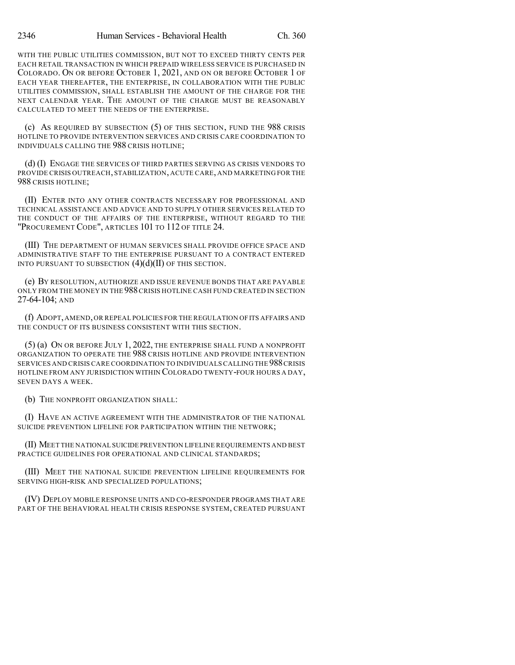WITH THE PUBLIC UTILITIES COMMISSION, BUT NOT TO EXCEED THIRTY CENTS PER EACH RETAIL TRANSACTION IN WHICH PREPAID WIRELESS SERVICE IS PURCHASED IN COLORADO. ON OR BEFORE OCTOBER 1, 2021, AND ON OR BEFORE OCTOBER 1 OF EACH YEAR THEREAFTER, THE ENTERPRISE, IN COLLABORATION WITH THE PUBLIC UTILITIES COMMISSION, SHALL ESTABLISH THE AMOUNT OF THE CHARGE FOR THE NEXT CALENDAR YEAR. THE AMOUNT OF THE CHARGE MUST BE REASONABLY CALCULATED TO MEET THE NEEDS OF THE ENTERPRISE.

(c) AS REQUIRED BY SUBSECTION (5) OF THIS SECTION, FUND THE 988 CRISIS HOTLINE TO PROVIDE INTERVENTION SERVICES AND CRISIS CARE COORDINATION TO INDIVIDUALS CALLING THE 988 CRISIS HOTLINE;

(d) (I) ENGAGE THE SERVICES OF THIRD PARTIES SERVING AS CRISIS VENDORS TO PROVIDE CRISIS OUTREACH, STABILIZATION, ACUTE CARE, AND MARKETING FOR THE 988 CRISIS HOTLINE;

(II) ENTER INTO ANY OTHER CONTRACTS NECESSARY FOR PROFESSIONAL AND TECHNICAL ASSISTANCE AND ADVICE AND TO SUPPLY OTHER SERVICES RELATED TO THE CONDUCT OF THE AFFAIRS OF THE ENTERPRISE, WITHOUT REGARD TO THE "PROCUREMENT CODE", ARTICLES 101 TO 112 OF TITLE 24.

(III) THE DEPARTMENT OF HUMAN SERVICES SHALL PROVIDE OFFICE SPACE AND ADMINISTRATIVE STAFF TO THE ENTERPRISE PURSUANT TO A CONTRACT ENTERED INTO PURSUANT TO SUBSECTION  $(4)(d)(II)$  OF THIS SECTION.

(e) BY RESOLUTION, AUTHORIZE AND ISSUE REVENUE BONDS THAT ARE PAYABLE ONLY FROM THE MONEY IN THE 988CRISIS HOTLINE CASH FUND CREATED IN SECTION 27-64-104; AND

(f) ADOPT,AMEND,OR REPEAL POLICIES FOR THE REGULATION OFITS AFFAIRS AND THE CONDUCT OF ITS BUSINESS CONSISTENT WITH THIS SECTION.

(5) (a) ON OR BEFORE JULY 1, 2022, THE ENTERPRISE SHALL FUND A NONPROFIT ORGANIZATION TO OPERATE THE 988 CRISIS HOTLINE AND PROVIDE INTERVENTION SERVICES AND CRISIS CARE COORDINATION TO INDIVIDUALS CALLING THE 988CRISIS HOTLINE FROM ANY JURISDICTION WITHIN COLORADO TWENTY-FOUR HOURS A DAY, SEVEN DAYS A WEEK.

(b) THE NONPROFIT ORGANIZATION SHALL:

(I) HAVE AN ACTIVE AGREEMENT WITH THE ADMINISTRATOR OF THE NATIONAL SUICIDE PREVENTION LIFELINE FOR PARTICIPATION WITHIN THE NETWORK;

(II) MEET THE NATIONAL SUICIDE PREVENTION LIFELINE REQUIREMENTS AND BEST PRACTICE GUIDELINES FOR OPERATIONAL AND CLINICAL STANDARDS;

(III) MEET THE NATIONAL SUICIDE PREVENTION LIFELINE REQUIREMENTS FOR SERVING HIGH-RISK AND SPECIALIZED POPULATIONS;

(IV) DEPLOY MOBILE RESPONSE UNITS AND CO-RESPONDER PROGRAMS THAT ARE PART OF THE BEHAVIORAL HEALTH CRISIS RESPONSE SYSTEM, CREATED PURSUANT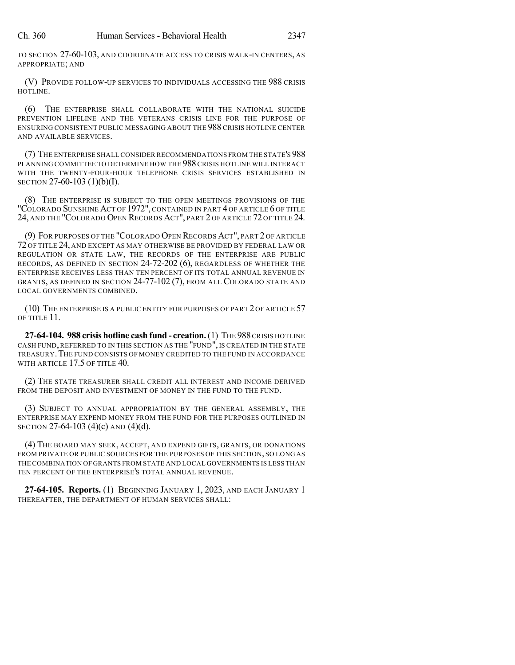TO SECTION 27-60-103, AND COORDINATE ACCESS TO CRISIS WALK-IN CENTERS, AS APPROPRIATE; AND

(V) PROVIDE FOLLOW-UP SERVICES TO INDIVIDUALS ACCESSING THE 988 CRISIS HOTLINE.

(6) THE ENTERPRISE SHALL COLLABORATE WITH THE NATIONAL SUICIDE PREVENTION LIFELINE AND THE VETERANS CRISIS LINE FOR THE PURPOSE OF ENSURING CONSISTENT PUBLIC MESSAGING ABOUT THE 988 CRISIS HOTLINE CENTER AND AVAILABLE SERVICES.

(7) THE ENTERPRISE SHALL CONSIDER RECOMMENDATIONS FROM THE STATE'S 988 PLANNING COMMITTEE TO DETERMINE HOW THE 988CRISIS HOTLINE WILL INTERACT WITH THE TWENTY-FOUR-HOUR TELEPHONE CRISIS SERVICES ESTABLISHED IN SECTION 27-60-103 (1)(b)(I).

(8) THE ENTERPRISE IS SUBJECT TO THE OPEN MEETINGS PROVISIONS OF THE "COLORADO SUNSHINE ACT OF 1972", CONTAINED IN PART 4 OF ARTICLE 6 OF TITLE 24, AND THE "COLORADO OPEN RECORDS ACT", PART 2 OF ARTICLE 72 OF TITLE 24.

(9) FOR PURPOSES OF THE "COLORADO OPEN RECORDS ACT", PART 2 OF ARTICLE 72 OF TITLE 24, AND EXCEPT AS MAY OTHERWISE BE PROVIDED BY FEDERAL LAW OR REGULATION OR STATE LAW, THE RECORDS OF THE ENTERPRISE ARE PUBLIC RECORDS, AS DEFINED IN SECTION 24-72-202 (6), REGARDLESS OF WHETHER THE ENTERPRISE RECEIVES LESS THAN TEN PERCENT OF ITS TOTAL ANNUAL REVENUE IN GRANTS, AS DEFINED IN SECTION 24-77-102 (7), FROM ALL COLORADO STATE AND LOCAL GOVERNMENTS COMBINED.

(10) THE ENTERPRISE IS A PUBLIC ENTITY FOR PURPOSES OF PART 2 OF ARTICLE 57 OF TITLE 11.

**27-64-104. 988 crisis hotline cash fund - creation.**(1) THE 988CRISIS HOTLINE CASH FUND,REFERRED TO IN THIS SECTION AS THE "FUND", IS CREATED IN THE STATE TREASURY.THE FUND CONSISTS OF MONEY CREDITED TO THE FUND IN ACCORDANCE WITH ARTICLE 17.5 OF TITLE 40.

(2) THE STATE TREASURER SHALL CREDIT ALL INTEREST AND INCOME DERIVED FROM THE DEPOSIT AND INVESTMENT OF MONEY IN THE FUND TO THE FUND.

(3) SUBJECT TO ANNUAL APPROPRIATION BY THE GENERAL ASSEMBLY, THE ENTERPRISE MAY EXPEND MONEY FROM THE FUND FOR THE PURPOSES OUTLINED IN SECTION 27-64-103 (4)(c) AND (4)(d).

(4) THE BOARD MAY SEEK, ACCEPT, AND EXPEND GIFTS, GRANTS, OR DONATIONS FROM PRIVATE OR PUBLIC SOURCES FOR THE PURPOSES OF THIS SECTION, SO LONG AS THE COMBINATION OF GRANTS FROM STATE AND LOCAL GOVERNMENTS IS LESS THAN TEN PERCENT OF THE ENTERPRISE'S TOTAL ANNUAL REVENUE.

**27-64-105. Reports.** (1) BEGINNING JANUARY 1, 2023, AND EACH JANUARY 1 THEREAFTER, THE DEPARTMENT OF HUMAN SERVICES SHALL: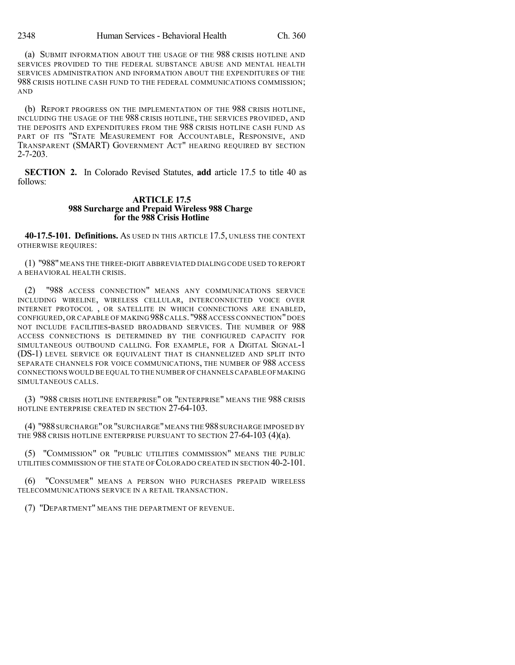(a) SUBMIT INFORMATION ABOUT THE USAGE OF THE 988 CRISIS HOTLINE AND SERVICES PROVIDED TO THE FEDERAL SUBSTANCE ABUSE AND MENTAL HEALTH SERVICES ADMINISTRATION AND INFORMATION ABOUT THE EXPENDITURES OF THE 988 CRISIS HOTLINE CASH FUND TO THE FEDERAL COMMUNICATIONS COMMISSION; AND

(b) REPORT PROGRESS ON THE IMPLEMENTATION OF THE 988 CRISIS HOTLINE, INCLUDING THE USAGE OF THE 988 CRISIS HOTLINE, THE SERVICES PROVIDED, AND THE DEPOSITS AND EXPENDITURES FROM THE 988 CRISIS HOTLINE CASH FUND AS PART OF ITS "STATE MEASUREMENT FOR ACCOUNTABLE, RESPONSIVE, AND TRANSPARENT (SMART) GOVERNMENT ACT" HEARING REQUIRED BY SECTION 2-7-203.

**SECTION 2.** In Colorado Revised Statutes, **add** article 17.5 to title 40 as follows:

### **ARTICLE 17.5 988 Surcharge and Prepaid Wireless 988 Charge for the 988 Crisis Hotline**

**40-17.5-101. Definitions.** AS USED IN THIS ARTICLE 17.5, UNLESS THE CONTEXT OTHERWISE REQUIRES:

(1) "988" MEANS THE THREE-DIGIT ABBREVIATED DIALING CODE USED TO REPORT A BEHAVIORAL HEALTH CRISIS.

(2) "988 ACCESS CONNECTION" MEANS ANY COMMUNICATIONS SERVICE INCLUDING WIRELINE, WIRELESS CELLULAR, INTERCONNECTED VOICE OVER INTERNET PROTOCOL , OR SATELLITE IN WHICH CONNECTIONS ARE ENABLED, CONFIGURED, OR CAPABLE OF MAKING 988 CALLS. "988 ACCESS CONNECTION" DOES NOT INCLUDE FACILITIES-BASED BROADBAND SERVICES. THE NUMBER OF 988 ACCESS CONNECTIONS IS DETERMINED BY THE CONFIGURED CAPACITY FOR SIMULTANEOUS OUTBOUND CALLING. FOR EXAMPLE, FOR A DIGITAL SIGNAL-1 (DS-1) LEVEL SERVICE OR EQUIVALENT THAT IS CHANNELIZED AND SPLIT INTO SEPARATE CHANNELS FOR VOICE COMMUNICATIONS, THE NUMBER OF 988 ACCESS CONNECTIONS WOULD BE EQUAL TO THE NUMBER OF CHANNELS CAPABLE OFMAKING SIMULTANEOUS CALLS.

(3) "988 CRISIS HOTLINE ENTERPRISE" OR "ENTERPRISE" MEANS THE 988 CRISIS HOTLINE ENTERPRISE CREATED IN SECTION 27-64-103.

(4) "988SURCHARGE"OR "SURCHARGE"MEANS THE 988SURCHARGE IMPOSED BY THE 988 CRISIS HOTLINE ENTERPRISE PURSUANT TO SECTION 27-64-103 (4)(a).

(5) "COMMISSION" OR "PUBLIC UTILITIES COMMISSION" MEANS THE PUBLIC UTILITIES COMMISSION OF THE STATE OF COLORADO CREATED IN SECTION 40-2-101.

(6) "CONSUMER" MEANS A PERSON WHO PURCHASES PREPAID WIRELESS TELECOMMUNICATIONS SERVICE IN A RETAIL TRANSACTION.

(7) "DEPARTMENT" MEANS THE DEPARTMENT OF REVENUE.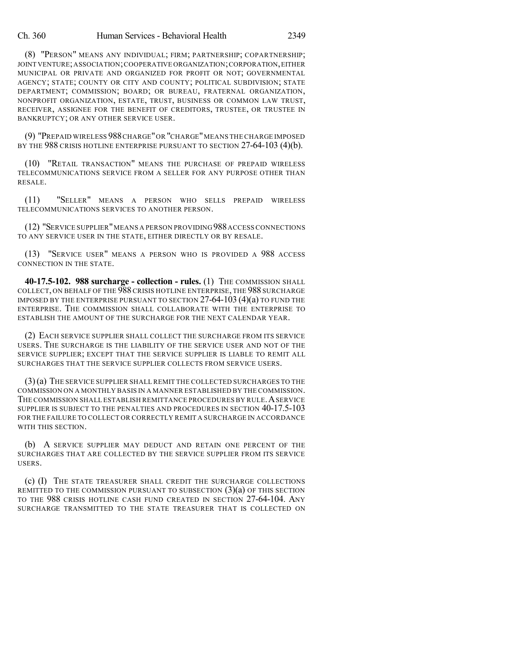(8) "PERSON" MEANS ANY INDIVIDUAL; FIRM; PARTNERSHIP; COPARTNERSHIP; JOINT VENTURE;ASSOCIATION;COOPERATIVE ORGANIZATION;CORPORATION,EITHER MUNICIPAL OR PRIVATE AND ORGANIZED FOR PROFIT OR NOT; GOVERNMENTAL AGENCY; STATE; COUNTY OR CITY AND COUNTY; POLITICAL SUBDIVISION; STATE DEPARTMENT; COMMISSION; BOARD; OR BUREAU, FRATERNAL ORGANIZATION, NONPROFIT ORGANIZATION, ESTATE, TRUST, BUSINESS OR COMMON LAW TRUST, RECEIVER, ASSIGNEE FOR THE BENEFIT OF CREDITORS, TRUSTEE, OR TRUSTEE IN BANKRUPTCY; OR ANY OTHER SERVICE USER.

(9) "PREPAID WIRELESS 988CHARGE"OR "CHARGE"MEANS THE CHARGE IMPOSED BY THE 988 CRISIS HOTLINE ENTERPRISE PURSUANT TO SECTION 27-64-103 (4)(b).

(10) "RETAIL TRANSACTION" MEANS THE PURCHASE OF PREPAID WIRELESS TELECOMMUNICATIONS SERVICE FROM A SELLER FOR ANY PURPOSE OTHER THAN RESALE.

(11) "SELLER" MEANS A PERSON WHO SELLS PREPAID WIRELESS TELECOMMUNICATIONS SERVICES TO ANOTHER PERSON.

(12) "SERVICE SUPPLIER"MEANS A PERSON PROVIDING 988ACCESS CONNECTIONS TO ANY SERVICE USER IN THE STATE, EITHER DIRECTLY OR BY RESALE.

(13) "SERVICE USER" MEANS A PERSON WHO IS PROVIDED A 988 ACCESS CONNECTION IN THE STATE.

**40-17.5-102. 988 surcharge - collection - rules.** (1) THE COMMISSION SHALL COLLECT, ON BEHALF OF THE 988 CRISIS HOTLINE ENTERPRISE, THE 988 SURCHARGE IMPOSED BY THE ENTERPRISE PURSUANT TO SECTION  $27-64-103(4)(a)$  to fund the ENTERPRISE. THE COMMISSION SHALL COLLABORATE WITH THE ENTERPRISE TO ESTABLISH THE AMOUNT OF THE SURCHARGE FOR THE NEXT CALENDAR YEAR.

(2) EACH SERVICE SUPPLIER SHALL COLLECT THE SURCHARGE FROM ITS SERVICE USERS. THE SURCHARGE IS THE LIABILITY OF THE SERVICE USER AND NOT OF THE SERVICE SUPPLIER; EXCEPT THAT THE SERVICE SUPPLIER IS LIABLE TO REMIT ALL SURCHARGES THAT THE SERVICE SUPPLIER COLLECTS FROM SERVICE USERS.

(3)(a) THE SERVICE SUPPLIER SHALL REMIT THE COLLECTED SURCHARGES TO THE COMMISSION ON A MONTHLY BASIS IN A MANNER ESTABLISHED BY THE COMMISSION. THE COMMISSION SHALL ESTABLISH REMITTANCE PROCEDURES BY RULE. A SERVICE SUPPLIER IS SUBJECT TO THE PENALTIES AND PROCEDURES IN SECTION 40-17.5-103 FOR THE FAILURE TO COLLECT OR CORRECTLY REMIT A SURCHARGE IN ACCORDANCE WITH THIS SECTION.

(b) A SERVICE SUPPLIER MAY DEDUCT AND RETAIN ONE PERCENT OF THE SURCHARGES THAT ARE COLLECTED BY THE SERVICE SUPPLIER FROM ITS SERVICE USERS.

(c) (I) THE STATE TREASURER SHALL CREDIT THE SURCHARGE COLLECTIONS REMITTED TO THE COMMISSION PURSUANT TO SUBSECTION  $(3)(a)$  of this section TO THE 988 CRISIS HOTLINE CASH FUND CREATED IN SECTION 27-64-104. ANY SURCHARGE TRANSMITTED TO THE STATE TREASURER THAT IS COLLECTED ON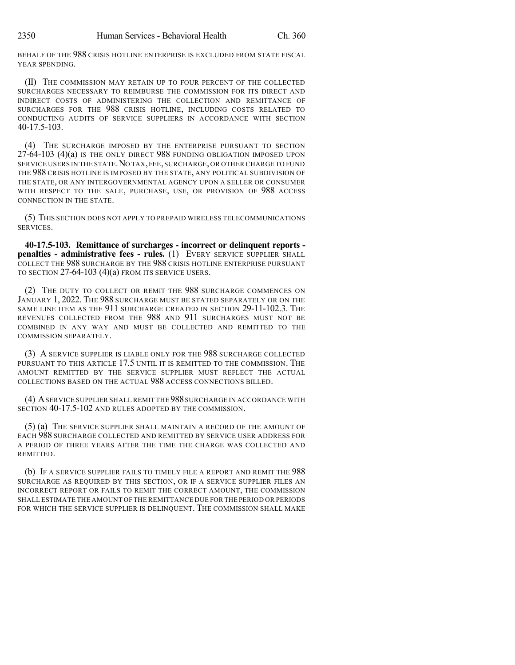BEHALF OF THE 988 CRISIS HOTLINE ENTERPRISE IS EXCLUDED FROM STATE FISCAL YEAR SPENDING.

(II) THE COMMISSION MAY RETAIN UP TO FOUR PERCENT OF THE COLLECTED SURCHARGES NECESSARY TO REIMBURSE THE COMMISSION FOR ITS DIRECT AND INDIRECT COSTS OF ADMINISTERING THE COLLECTION AND REMITTANCE OF SURCHARGES FOR THE 988 CRISIS HOTLINE, INCLUDING COSTS RELATED TO CONDUCTING AUDITS OF SERVICE SUPPLIERS IN ACCORDANCE WITH SECTION 40-17.5-103.

(4) THE SURCHARGE IMPOSED BY THE ENTERPRISE PURSUANT TO SECTION 27-64-103 (4)(a) IS THE ONLY DIRECT 988 FUNDING OBLIGATION IMPOSED UPON SERVICE USERS IN THE STATE.NO TAX,FEE,SURCHARGE,OR OTHER CHARGE TO FUND THE 988 CRISIS HOTLINE IS IMPOSED BY THE STATE, ANY POLITICAL SUBDIVISION OF THE STATE, OR ANY INTERGOVERNMENTAL AGENCY UPON A SELLER OR CONSUMER WITH RESPECT TO THE SALE, PURCHASE, USE, OR PROVISION OF 988 ACCESS CONNECTION IN THE STATE.

(5) THIS SECTION DOES NOT APPLY TO PREPAID WIRELESS TELECOMMUNICATIONS SERVICES.

**40-17.5-103. Remittance of surcharges - incorrect or delinquent reports penalties - administrative fees - rules.** (1) EVERY SERVICE SUPPLIER SHALL COLLECT THE 988 SURCHARGE BY THE 988 CRISIS HOTLINE ENTERPRISE PURSUANT TO SECTION 27-64-103 (4)(a) FROM ITS SERVICE USERS.

(2) THE DUTY TO COLLECT OR REMIT THE 988 SURCHARGE COMMENCES ON JANUARY 1, 2022. THE 988 SURCHARGE MUST BE STATED SEPARATELY OR ON THE SAME LINE ITEM AS THE 911 SURCHARGE CREATED IN SECTION 29-11-102.3. THE REVENUES COLLECTED FROM THE 988 AND 911 SURCHARGES MUST NOT BE COMBINED IN ANY WAY AND MUST BE COLLECTED AND REMITTED TO THE COMMISSION SEPARATELY.

(3) A SERVICE SUPPLIER IS LIABLE ONLY FOR THE 988 SURCHARGE COLLECTED PURSUANT TO THIS ARTICLE 17.5 UNTIL IT IS REMITTED TO THE COMMISSION. THE AMOUNT REMITTED BY THE SERVICE SUPPLIER MUST REFLECT THE ACTUAL COLLECTIONS BASED ON THE ACTUAL 988 ACCESS CONNECTIONS BILLED.

(4) ASERVICE SUPPLIER SHALL REMIT THE 988SURCHARGE IN ACCORDANCE WITH SECTION 40-17.5-102 AND RULES ADOPTED BY THE COMMISSION.

(5) (a) THE SERVICE SUPPLIER SHALL MAINTAIN A RECORD OF THE AMOUNT OF EACH 988 SURCHARGE COLLECTED AND REMITTED BY SERVICE USER ADDRESS FOR A PERIOD OF THREE YEARS AFTER THE TIME THE CHARGE WAS COLLECTED AND REMITTED.

(b) IF A SERVICE SUPPLIER FAILS TO TIMELY FILE A REPORT AND REMIT THE 988 SURCHARGE AS REQUIRED BY THIS SECTION, OR IF A SERVICE SUPPLIER FILES AN INCORRECT REPORT OR FAILS TO REMIT THE CORRECT AMOUNT, THE COMMISSION SHALL ESTIMATE THE AMOUNT OFTHE REMITTANCE DUE FOR THE PERIOD OR PERIODS FOR WHICH THE SERVICE SUPPLIER IS DELINQUENT. THE COMMISSION SHALL MAKE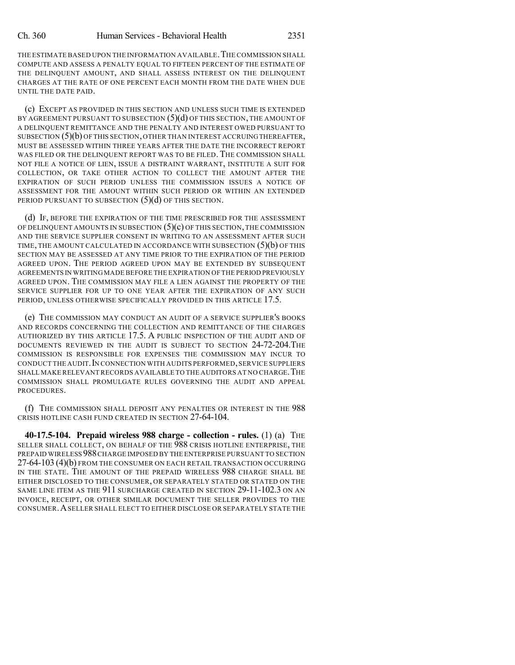THE ESTIMATE BASED UPON THE INFORMATION AVAILABLE.THE COMMISSION SHALL COMPUTE AND ASSESS A PENALTY EQUAL TO FIFTEEN PERCENT OF THE ESTIMATE OF THE DELINQUENT AMOUNT, AND SHALL ASSESS INTEREST ON THE DELINQUENT CHARGES AT THE RATE OF ONE PERCENT EACH MONTH FROM THE DATE WHEN DUE UNTIL THE DATE PAID.

(c) EXCEPT AS PROVIDED IN THIS SECTION AND UNLESS SUCH TIME IS EXTENDED BY AGREEMENT PURSUANT TO SUBSECTION  $(5)(d)$  OF THIS SECTION, THE AMOUNT OF A DELINQUENT REMITTANCE AND THE PENALTY AND INTEREST OWED PURSUANT TO SUBSECTION (5)(b) OF THIS SECTION,OTHER THAN INTEREST ACCRUINGTHEREAFTER, MUST BE ASSESSED WITHIN THREE YEARS AFTER THE DATE THE INCORRECT REPORT WAS FILED OR THE DELINQUENT REPORT WAS TO BE FILED. THE COMMISSION SHALL NOT FILE A NOTICE OF LIEN, ISSUE A DISTRAINT WARRANT, INSTITUTE A SUIT FOR COLLECTION, OR TAKE OTHER ACTION TO COLLECT THE AMOUNT AFTER THE EXPIRATION OF SUCH PERIOD UNLESS THE COMMISSION ISSUES A NOTICE OF ASSESSMENT FOR THE AMOUNT WITHIN SUCH PERIOD OR WITHIN AN EXTENDED PERIOD PURSUANT TO SUBSECTION (5)(d) OF THIS SECTION.

(d) IF, BEFORE THE EXPIRATION OF THE TIME PRESCRIBED FOR THE ASSESSMENT OF DELINQUENT AMOUNTS IN SUBSECTION  $(5)(c)$  OF THIS SECTION, THE COMMISSION AND THE SERVICE SUPPLIER CONSENT IN WRITING TO AN ASSESSMENT AFTER SUCH TIME, THE AMOUNT CALCULATED IN ACCORDANCE WITH SUBSECTION  $(5)(b)$  OF THIS SECTION MAY BE ASSESSED AT ANY TIME PRIOR TO THE EXPIRATION OF THE PERIOD AGREED UPON. THE PERIOD AGREED UPON MAY BE EXTENDED BY SUBSEQUENT AGREEMENTS IN WRITINGMADE BEFORE THE EXPIRATION OF THE PERIOD PREVIOUSLY AGREED UPON. THE COMMISSION MAY FILE A LIEN AGAINST THE PROPERTY OF THE SERVICE SUPPLIER FOR UP TO ONE YEAR AFTER THE EXPIRATION OF ANY SUCH PERIOD, UNLESS OTHERWISE SPECIFICALLY PROVIDED IN THIS ARTICLE 17.5.

(e) THE COMMISSION MAY CONDUCT AN AUDIT OF A SERVICE SUPPLIER'S BOOKS AND RECORDS CONCERNING THE COLLECTION AND REMITTANCE OF THE CHARGES AUTHORIZED BY THIS ARTICLE 17.5. A PUBLIC INSPECTION OF THE AUDIT AND OF DOCUMENTS REVIEWED IN THE AUDIT IS SUBJECT TO SECTION 24-72-204.THE COMMISSION IS RESPONSIBLE FOR EXPENSES THE COMMISSION MAY INCUR TO CONDUCT THE AUDIT. IN CONNECTION WITH AUDITS PERFORMED, SERVICE SUPPLIERS SHALL MAKE RELEVANT RECORDS AVAILABLE TO THE AUDITORS AT NO CHARGE. THE COMMISSION SHALL PROMULGATE RULES GOVERNING THE AUDIT AND APPEAL PROCEDURES.

(f) THE COMMISSION SHALL DEPOSIT ANY PENALTIES OR INTEREST IN THE 988 CRISIS HOTLINE CASH FUND CREATED IN SECTION 27-64-104.

**40-17.5-104. Prepaid wireless 988 charge - collection - rules.** (1) (a) THE SELLER SHALL COLLECT, ON BEHALF OF THE 988 CRISIS HOTLINE ENTERPRISE, THE PREPAID WIRELESS 988CHARGE IMPOSED BY THE ENTERPRISE PURSUANT TO SECTION 27-64-103 (4)(b) FROM THE CONSUMER ON EACH RETAIL TRANSACTION OCCURRING IN THE STATE. THE AMOUNT OF THE PREPAID WIRELESS 988 CHARGE SHALL BE EITHER DISCLOSED TO THE CONSUMER, OR SEPARATELY STATED OR STATED ON THE SAME LINE ITEM AS THE 911 SURCHARGE CREATED IN SECTION 29-11-102.3 ON AN INVOICE, RECEIPT, OR OTHER SIMILAR DOCUMENT THE SELLER PROVIDES TO THE CONSUMER.ASELLER SHALL ELECT TO EITHER DISCLOSE OR SEPARATELY STATE THE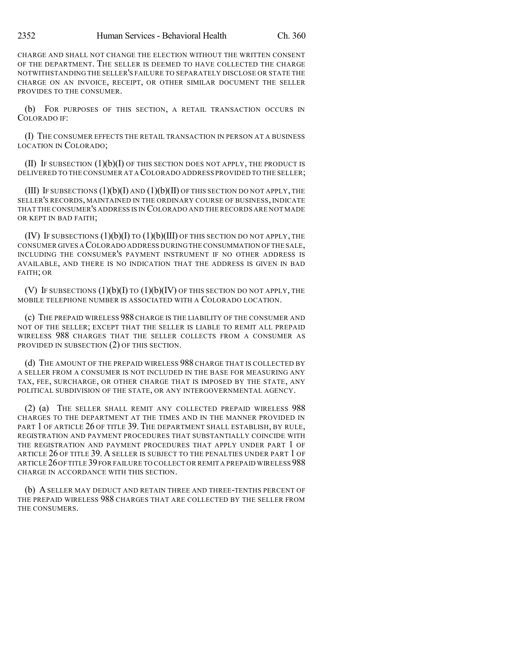CHARGE AND SHALL NOT CHANGE THE ELECTION WITHOUT THE WRITTEN CONSENT OF THE DEPARTMENT. THE SELLER IS DEEMED TO HAVE COLLECTED THE CHARGE NOTWITHSTANDING THE SELLER'S FAILURE TO SEPARATELY DISCLOSE OR STATE THE CHARGE ON AN INVOICE, RECEIPT, OR OTHER SIMILAR DOCUMENT THE SELLER PROVIDES TO THE CONSUMER.

(b) FOR PURPOSES OF THIS SECTION, A RETAIL TRANSACTION OCCURS IN COLORADO IF:

(I) THE CONSUMER EFFECTS THE RETAIL TRANSACTION IN PERSON AT A BUSINESS LOCATION IN COLORADO;

(II) IF SUBSECTION  $(1)(b)(I)$  of this section does not apply, the product is DELIVERED TO THE CONSUMER AT A COLORADO ADDRESS PROVIDED TO THE SELLER;

(III) IF SUBSECTIONS  $(1)(b)(I)$  and  $(1)(b)(II)$  of this section do not apply, the SELLER'S RECORDS, MAINTAINED IN THE ORDINARY COURSE OF BUSINESS, INDICATE THAT THE CONSUMER'S ADDRESS IS IN COLORADO AND THE RECORDS ARE NOT MADE OR KEPT IN BAD FAITH;

(IV) IF SUBSECTIONS  $(1)(b)(I)$  to  $(1)(b)(III)$  of this section do not apply, the CONSUMER GIVES A COLORADO ADDRESS DURINGTHE CONSUMMATION OFTHE SALE, INCLUDING THE CONSUMER'S PAYMENT INSTRUMENT IF NO OTHER ADDRESS IS AVAILABLE, AND THERE IS NO INDICATION THAT THE ADDRESS IS GIVEN IN BAD FAITH; OR

(V) IF SUBSECTIONS  $(1)(b)(I)$  TO  $(1)(b)(IV)$  OF THIS SECTION DO NOT APPLY, THE MOBILE TELEPHONE NUMBER IS ASSOCIATED WITH A COLORADO LOCATION.

(c) THE PREPAID WIRELESS 988 CHARGE IS THE LIABILITY OF THE CONSUMER AND NOT OF THE SELLER; EXCEPT THAT THE SELLER IS LIABLE TO REMIT ALL PREPAID WIRELESS 988 CHARGES THAT THE SELLER COLLECTS FROM A CONSUMER AS PROVIDED IN SUBSECTION (2) OF THIS SECTION.

(d) THE AMOUNT OF THE PREPAID WIRELESS 988 CHARGE THAT IS COLLECTED BY A SELLER FROM A CONSUMER IS NOT INCLUDED IN THE BASE FOR MEASURING ANY TAX, FEE, SURCHARGE, OR OTHER CHARGE THAT IS IMPOSED BY THE STATE, ANY POLITICAL SUBDIVISION OF THE STATE, OR ANY INTERGOVERNMENTAL AGENCY.

(2) (a) THE SELLER SHALL REMIT ANY COLLECTED PREPAID WIRELESS 988 CHARGES TO THE DEPARTMENT AT THE TIMES AND IN THE MANNER PROVIDED IN PART 1 OF ARTICLE 26 OF TITLE 39. THE DEPARTMENT SHALL ESTABLISH, BY RULE, REGISTRATION AND PAYMENT PROCEDURES THAT SUBSTANTIALLY COINCIDE WITH THE REGISTRATION AND PAYMENT PROCEDURES THAT APPLY UNDER PART 1 OF ARTICLE 26 OF TITLE 39. A SELLER IS SUBJECT TO THE PENALTIES UNDER PART 1 OF ARTICLE 26OF TITLE 39 FOR FAILURE TO COLLECT OR REMIT A PREPAID WIRELESS 988 CHARGE IN ACCORDANCE WITH THIS SECTION.

(b) A SELLER MAY DEDUCT AND RETAIN THREE AND THREE-TENTHS PERCENT OF THE PREPAID WIRELESS 988 CHARGES THAT ARE COLLECTED BY THE SELLER FROM THE CONSUMERS.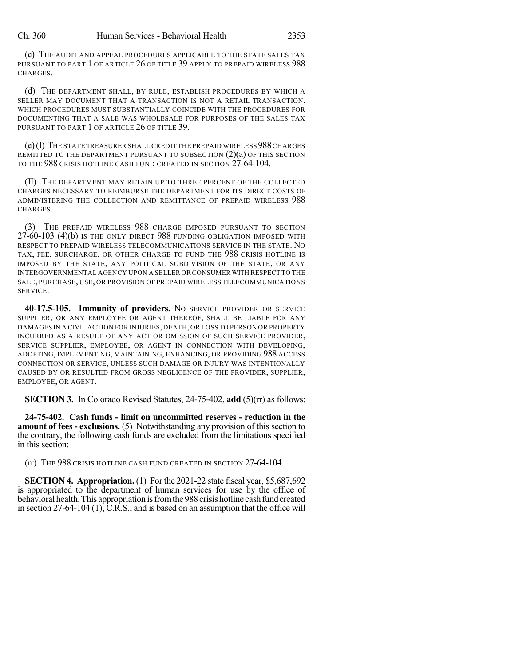(c) THE AUDIT AND APPEAL PROCEDURES APPLICABLE TO THE STATE SALES TAX PURSUANT TO PART 1 OF ARTICLE 26 OF TITLE 39 APPLY TO PREPAID WIRELESS 988 CHARGES.

(d) THE DEPARTMENT SHALL, BY RULE, ESTABLISH PROCEDURES BY WHICH A SELLER MAY DOCUMENT THAT A TRANSACTION IS NOT A RETAIL TRANSACTION, WHICH PROCEDURES MUST SUBSTANTIALLY COINCIDE WITH THE PROCEDURES FOR DOCUMENTING THAT A SALE WAS WHOLESALE FOR PURPOSES OF THE SALES TAX PURSUANT TO PART 1 OF ARTICLE 26 OF TITLE 39.

(e)(I) THE STATE TREASURER SHALL CREDIT THE PREPAID WIRELESS 988CHARGES REMITTED TO THE DEPARTMENT PURSUANT TO SUBSECTION  $(2)(a)$  OF THIS SECTION TO THE 988 CRISIS HOTLINE CASH FUND CREATED IN SECTION 27-64-104.

(II) THE DEPARTMENT MAY RETAIN UP TO THREE PERCENT OF THE COLLECTED CHARGES NECESSARY TO REIMBURSE THE DEPARTMENT FOR ITS DIRECT COSTS OF ADMINISTERING THE COLLECTION AND REMITTANCE OF PREPAID WIRELESS 988 CHARGES.

(3) THE PREPAID WIRELESS 988 CHARGE IMPOSED PURSUANT TO SECTION 27-60-103 (4)(b) IS THE ONLY DIRECT 988 FUNDING OBLIGATION IMPOSED WITH RESPECT TO PREPAID WIRELESS TELECOMMUNICATIONS SERVICE IN THE STATE. NO TAX, FEE, SURCHARGE, OR OTHER CHARGE TO FUND THE 988 CRISIS HOTLINE IS IMPOSED BY THE STATE, ANY POLITICAL SUBDIVISION OF THE STATE, OR ANY INTERGOVERNMENTAL AGENCY UPON A SELLER OR CONSUMER WITH RESPECT TO THE SALE, PURCHASE, USE, OR PROVISION OF PREPAID WIRELESS TELECOMMUNICATIONS SERVICE.

**40-17.5-105. Immunity of providers.** NO SERVICE PROVIDER OR SERVICE SUPPLIER, OR ANY EMPLOYEE OR AGENT THEREOF, SHALL BE LIABLE FOR ANY DAMAGES IN A CIVIL ACTION FOR INJURIES, DEATH, OR LOSS TO PERSON OR PROPERTY INCURRED AS A RESULT OF ANY ACT OR OMISSION OF SUCH SERVICE PROVIDER, SERVICE SUPPLIER, EMPLOYEE, OR AGENT IN CONNECTION WITH DEVELOPING, ADOPTING, IMPLEMENTING, MAINTAINING, ENHANCING, OR PROVIDING 988 ACCESS CONNECTION OR SERVICE, UNLESS SUCH DAMAGE OR INJURY WAS INTENTIONALLY CAUSED BY OR RESULTED FROM GROSS NEGLIGENCE OF THE PROVIDER, SUPPLIER, EMPLOYEE, OR AGENT.

**SECTION 3.** In Colorado Revised Statutes, 24-75-402, **add** (5)(rr) as follows:

**24-75-402. Cash funds - limit on uncommitted reserves - reduction in the amount of fees - exclusions.** (5) Notwithstanding any provision of this section to the contrary, the following cash funds are excluded from the limitations specified in this section:

(rr) THE 988 CRISIS HOTLINE CASH FUND CREATED IN SECTION 27-64-104.

**SECTION 4. Appropriation.** (1) For the 2021-22 state fiscal year, \$5,687,692 is appropriated to the department of human services for use by the office of behavioral health. This appropriation is from the 988 crisis hotline cash fund created in section 27-64-104 (1),  $\tilde{C}$ . R.S., and is based on an assumption that the office will